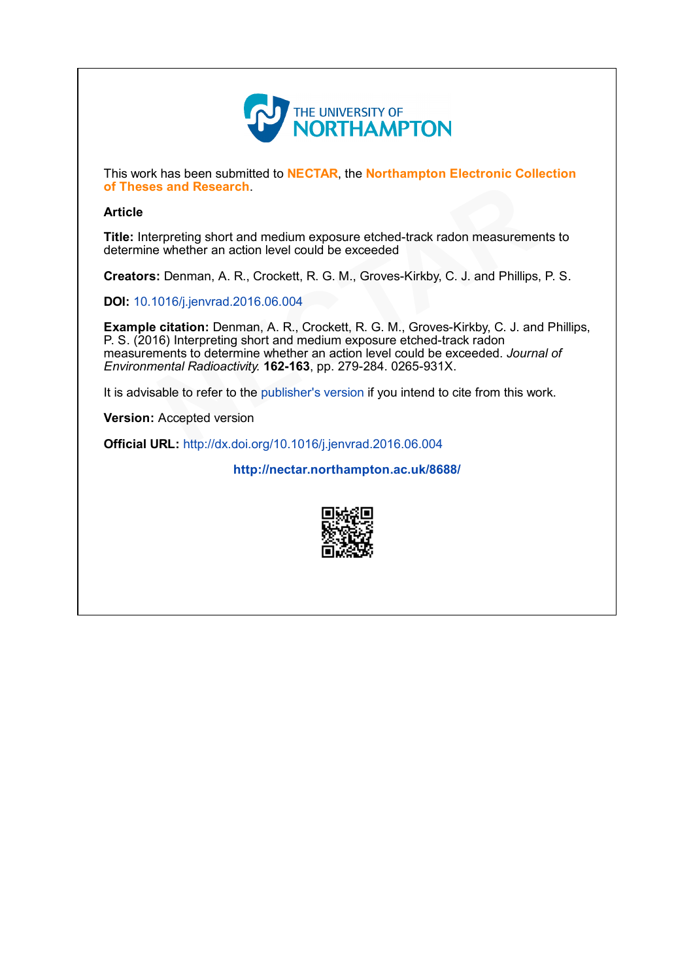

This work has been submitted to NECTAR, the Northampton Electronic Collection of Theses and Research.

#### Article

Title: Interpreting short and medium exposure etched-track radon measurements to determine whether an action level could be exceeded

**Creators:** Denman, A. R., Crockett, R. G. M., Groves-Kirkby, C. J. and Phillips, P. S.

DOI: 10.1016/j.jenvrad.2016.06.004

Example citation: Denman, A. R., Crockett, R. G. M., Groves-Kirkby, C. J. and Phillips, P. S. (2016) Interpreting short and medium exposure etched-track radon measurements to determine whether an action level could be exceeded. Journal of Environmental Radioactivity. 162-163, pp. 279-284. 0265-931X. of Theses and Research.<br> **Article**<br>
Title: Interpreting short and medium exposure etched-track radon measurements<br>
determine whether an action level could be exceeded<br> **Creators:** Denman, A. R., Crockett, R. G. M., Groves-

It is advisable to refer to the publisher's version if you intend to cite from this work.

Version: Accepted version

<http://nectar.northampton.ac.uk/8688/>

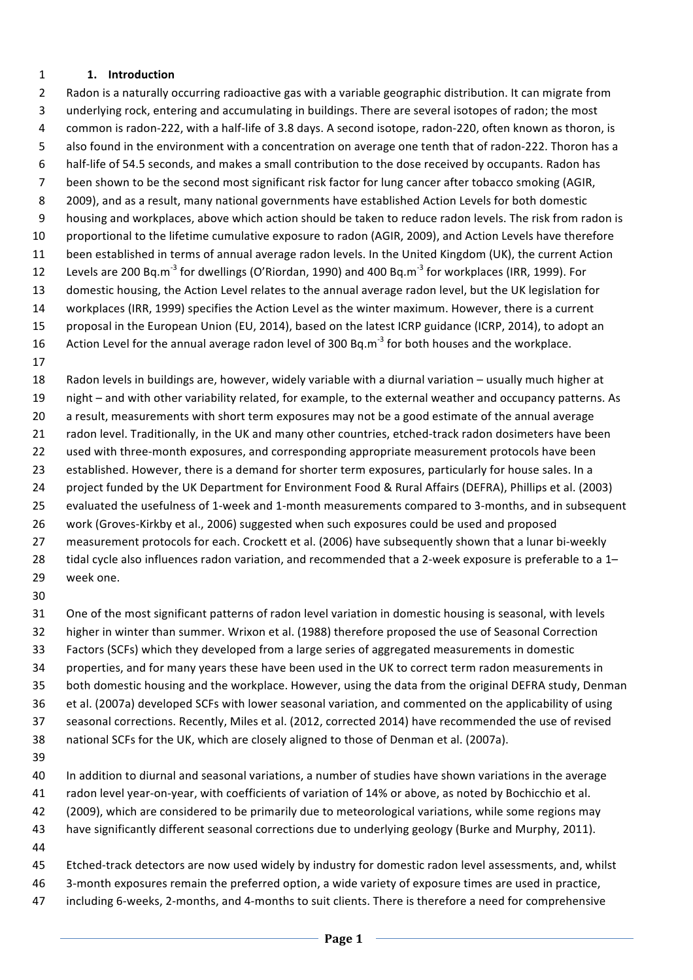### **1. Introduction**

 Radon is a naturally occurring radioactive gas with a variable geographic distribution. It can migrate from underlying rock, entering and accumulating in buildings. There are several isotopes of radon; the most common is radon‐222, with a half‐life of 3.8 days. A second isotope, radon‐220, often known as thoron, is also found in the environment with a concentration on average one tenth that of radon‐222. Thoron has a half‐life of 54.5 seconds, and makes a small contribution to the dose received by occupants. Radon has 7 been shown to be the second most significant risk factor for lung cancer after tobacco smoking (AGIR, 2009), and as a result, many national governments have established Action Levels for both domestic housing and workplaces, above which action should be taken to reduce radon levels. The risk from radon is proportional to the lifetime cumulative exposure to radon (AGIR, 2009), and Action Levels have therefore been established in terms of annual average radon levels. In the United Kingdom (UK), the current Action 12 Levels are 200 Bq.m<sup>-3</sup> for dwellings (O'Riordan, 1990) and 400 Bq.m<sup>-3</sup> for workplaces (IRR, 1999). For domestic housing, the Action Level relates to the annual average radon level, but the UK legislation for workplaces (IRR, 1999) specifies the Action Level as the winter maximum. However, there is a current proposal in the European Union (EU, 2014), based on the latest ICRP guidance (ICRP, 2014), to adopt an 16 Action Level for the annual average radon level of 300 Bq.m<sup>-3</sup> for both houses and the workplace. Radon levels in buildings are, however, widely variable with a diurnal variation – usually much higher at night – and with other variability related, for example, to the external weather and occupancy patterns. As a result, measurements with short term exposures may not be a good estimate of the annual average 21 radon level. Traditionally, in the UK and many other countries, etched-track radon dosimeters have been 22 used with three-month exposures, and corresponding appropriate measurement protocols have been established. However, there is a demand for shorter term exposures, particularly for house sales. In a project funded by the UK Department for Environment Food & Rural Affairs (DEFRA), Phillips et al. (2003) 25 evaluated the usefulness of 1-week and 1-month measurements compared to 3-months, and in subsequent work (Groves‐Kirkby et al., 2006) suggested when such exposures could be used and proposed 27 measurement protocols for each. Crockett et al. (2006) have subsequently shown that a lunar bi-weekly 28 tidal cycle also influences radon variation, and recommended that a 2-week exposure is preferable to a 1– week one.

 One of the most significant patterns of radon level variation in domestic housing is seasonal, with levels higher in winter than summer. Wrixon et al. (1988) therefore proposed the use of Seasonal Correction Factors (SCFs) which they developed from a large series of aggregated measurements in domestic properties, and for many years these have been used in the UK to correct term radon measurements in both domestic housing and the workplace. However, using the data from the original DEFRA study, Denman et al. (2007a) developed SCFs with lower seasonal variation, and commented on the applicability of using seasonal corrections. Recently, Miles et al. (2012, corrected 2014) have recommended the use of revised national SCFs for the UK, which are closely aligned to those of Denman et al. (2007a). 

- In addition to diurnal and seasonal variations, a number of studies have shown variations in the average 41 radon level year-on-year, with coefficients of variation of 14% or above, as noted by Bochicchio et al.
- (2009), which are considered to be primarily due to meteorological variations, while some regions may
- have significantly different seasonal corrections due to underlying geology (Burke and Murphy, 2011).
- 
- 45 Etched-track detectors are now used widely by industry for domestic radon level assessments, and, whilst
- 3‐month exposures remain the preferred option, a wide variety of exposure times are used in practice,
- including 6‐weeks, 2‐months, and 4‐months to suit clients. There is therefore a need for comprehensive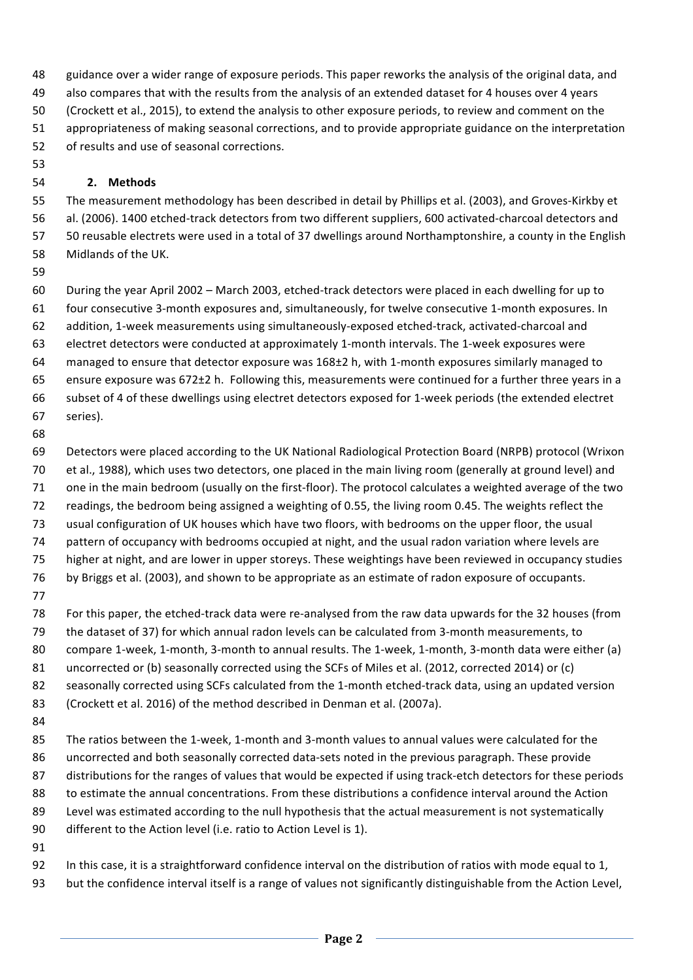guidance over a wider range of exposure periods. This paper reworks the analysis of the original data, and also compares that with the results from the analysis of an extended dataset for 4 houses over 4 years (Crockett et al., 2015), to extend the analysis to other exposure periods, to review and comment on the appropriateness of making seasonal corrections, and to provide appropriate guidance on the interpretation of results and use of seasonal corrections.

### **2. Methods**

 The measurement methodology has been described in detail by Phillips et al. (2003), and Groves‐Kirkby et al. (2006). 1400 etched‐track detectors from two different suppliers, 600 activated‐charcoal detectors and 50 reusable electrets were used in a total of 37 dwellings around Northamptonshire, a county in the English Midlands of the UK.

 During the year April 2002 – March 2003, etched‐track detectors were placed in each dwelling for up to four consecutive 3‐month exposures and, simultaneously, for twelve consecutive 1‐month exposures. In addition, 1‐week measurements using simultaneously‐exposed etched‐track, activated‐charcoal and electret detectors were conducted at approximately 1‐month intervals. The 1‐week exposures were managed to ensure that detector exposure was 168±2 h, with 1‐month exposures similarly managed to ensure exposure was 672±2 h. Following this, measurements were continued for a further three years in a subset of 4 of these dwellings using electret detectors exposed for 1‐week periods (the extended electret series).

 Detectors were placed according to the UK National Radiological Protection Board (NRPB) protocol (Wrixon et al., 1988), which uses two detectors, one placed in the main living room (generally at ground level) and 71 one in the main bedroom (usually on the first-floor). The protocol calculates a weighted average of the two readings, the bedroom being assigned a weighting of 0.55, the living room 0.45. The weights reflect the usual configuration of UK houses which have two floors, with bedrooms on the upper floor, the usual pattern of occupancy with bedrooms occupied at night, and the usual radon variation where levels are higher at night, and are lower in upper storeys. These weightings have been reviewed in occupancy studies by Briggs et al. (2003), and shown to be appropriate as an estimate of radon exposure of occupants.

78 For this paper, the etched-track data were re-analysed from the raw data upwards for the 32 houses (from 79 the dataset of 37) for which annual radon levels can be calculated from 3-month measurements, to compare 1‐week, 1‐month, 3‐month to annual results. The 1‐week, 1‐month, 3‐month data were either (a)

- uncorrected or (b) seasonally corrected using the SCFs of Miles et al. (2012, corrected 2014) or (c)
- 82 seasonally corrected using SCFs calculated from the 1-month etched-track data, using an updated version
- (Crockett et al. 2016) of the method described in Denman et al. (2007a).
- 

85 The ratios between the 1-week, 1-month and 3-month values to annual values were calculated for the 86 uncorrected and both seasonally corrected data-sets noted in the previous paragraph. These provide 87 distributions for the ranges of values that would be expected if using track-etch detectors for these periods to estimate the annual concentrations. From these distributions a confidence interval around the Action Level was estimated according to the null hypothesis that the actual measurement is not systematically different to the Action level (i.e. ratio to Action Level is 1).

- 
- In this case, it is a straightforward confidence interval on the distribution of ratios with mode equal to 1, but the confidence interval itself is a range of values not significantly distinguishable from the Action Level,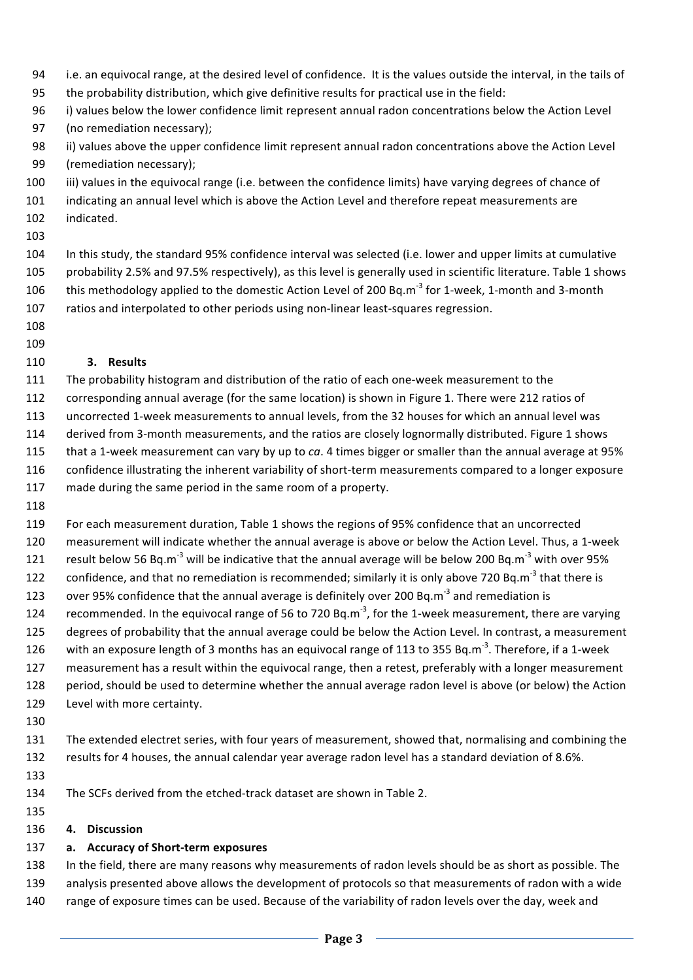- i.e. an equivocal range, at the desired level of confidence. It is the values outside the interval, in the tails of
- the probability distribution, which give definitive results for practical use in the field:
- i) values below the lower confidence limit represent annual radon concentrations below the Action Level
- (no remediation necessary);
- ii) values above the upper confidence limit represent annual radon concentrations above the Action Level (remediation necessary);
- iii) values in the equivocal range (i.e. between the confidence limits) have varying degrees of chance of
- indicating an annual level which is above the Action Level and therefore repeat measurements are
- indicated.
- 
- In this study, the standard 95% confidence interval was selected (i.e. lower and upper limits at cumulative probability 2.5% and 97.5% respectively), as this level is generally used in scientific literature. Table 1 shows this methodology applied to the domestic Action Level of 200 Bq.m<sup>-3</sup> for 1-week, 1-month and 3-month 107 ratios and interpolated to other periods using non-linear least-squares regression.
- 

#### **3. Results**

- 111 The probability histogram and distribution of the ratio of each one-week measurement to the
- corresponding annual average (for the same location) is shown in Figure 1. There were 212 ratios of
- uncorrected 1‐week measurements to annual levels, from the 32 houses for which an annual level was
- derived from 3‐month measurements, and the ratios are closely lognormally distributed. Figure 1 shows
- that a 1‐week measurement can vary by up to *ca*. 4 times bigger or smaller than the annual average at 95%
- 116 confidence illustrating the inherent variability of short-term measurements compared to a longer exposure made during the same period in the same room of a property.
- 
- For each measurement duration, Table 1 shows the regions of 95% confidence that an uncorrected 120 measurement will indicate whether the annual average is above or below the Action Level. Thus, a 1-week 121 result below 56 Bq.m<sup>-3</sup> will be indicative that the annual average will be below 200 Bq.m<sup>-3</sup> with over 95% 122 confidence, and that no remediation is recommended; similarly it is only above 720 Bq.m<sup>-3</sup> that there is 123 over 95% confidence that the annual average is definitely over 200 Bq.m<sup>-3</sup> and remediation is 124 recommended. In the equivocal range of 56 to 720 Bq.m<sup>-3</sup>, for the 1-week measurement, there are varying degrees of probability that the annual average could be below the Action Level. In contrast, a measurement 126 with an exposure length of 3 months has an equivocal range of 113 to 355 Bq.m<sup>-3</sup>. Therefore, if a 1-week measurement has a result within the equivocal range, then a retest, preferably with a longer measurement period, should be used to determine whether the annual average radon level is above (or below) the Action
- Level with more certainty.
- 
- The extended electret series, with four years of measurement, showed that, normalising and combining the results for 4 houses, the annual calendar year average radon level has a standard deviation of 8.6%.
- 

- The SCFs derived from the etched‐track dataset are shown in Table 2.
- **4. Discussion**

#### **a. Accuracy of Short‐term exposures**

- In the field, there are many reasons why measurements of radon levels should be as short as possible. The analysis presented above allows the development of protocols so that measurements of radon with a wide
- range of exposure times can be used. Because of the variability of radon levels over the day, week and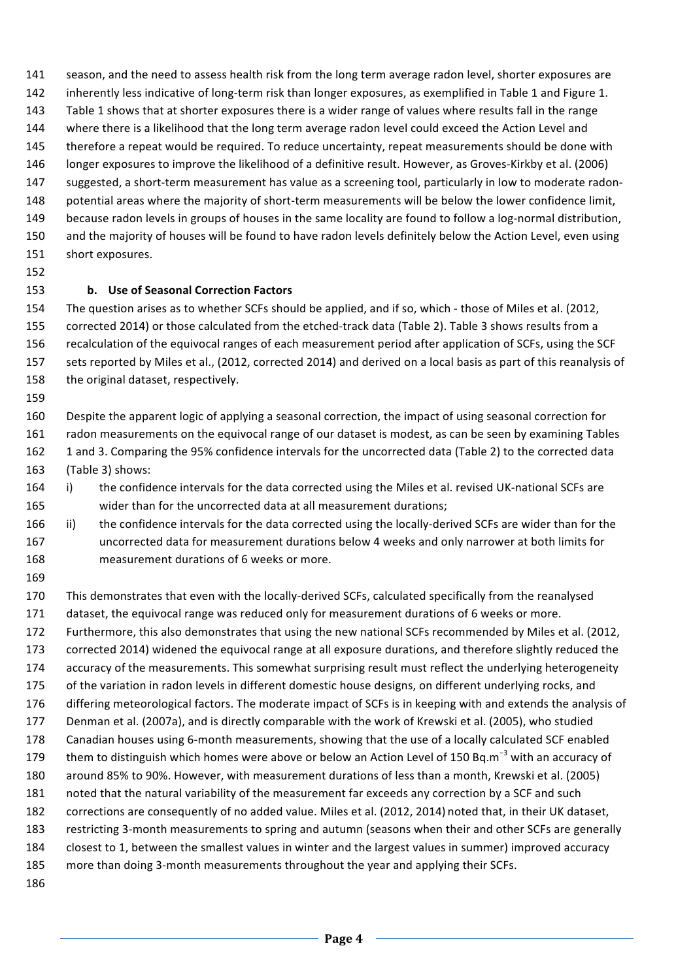- season, and the need to assess health risk from the long term average radon level, shorter exposures are 142 inherently less indicative of long-term risk than longer exposures, as exemplified in Table 1 and Figure 1. Table 1 shows that at shorter exposures there is a wider range of values where results fall in the range where there is a likelihood that the long term average radon level could exceed the Action Level and therefore a repeat would be required. To reduce uncertainty, repeat measurements should be done with 146 longer exposures to improve the likelihood of a definitive result. However, as Groves-Kirkby et al. (2006) 147 suggested, a short-term measurement has value as a screening tool, particularly in low to moderate radon-148 potential areas where the majority of short-term measurements will be below the lower confidence limit, 149 because radon levels in groups of houses in the same locality are found to follow a log-normal distribution, and the majority of houses will be found to have radon levels definitely below the Action Level, even using
- short exposures.

#### **b. Use of Seasonal Correction Factors**

 The question arises as to whether SCFs should be applied, and if so, which ‐ those of Miles et al. (2012, corrected 2014) or those calculated from the etched‐track data (Table 2). Table 3 shows results from a recalculation of the equivocal ranges of each measurement period after application of SCFs, using the SCF sets reported by Miles et al., (2012, corrected 2014) and derived on a local basis as part of this reanalysis of 158 the original dataset, respectively.

 Despite the apparent logic of applying a seasonal correction, the impact of using seasonal correction for radon measurements on the equivocal range of our dataset is modest, as can be seen by examining Tables 1 and 3. Comparing the 95% confidence intervals for the uncorrected data (Table 2) to the corrected data (Table 3) shows:

- i) the confidence intervals for the data corrected using the Miles et al. revised UK‐national SCFs are wider than for the uncorrected data at all measurement durations;
- 166 ii) the confidence intervals for the data corrected using the locally-derived SCFs are wider than for the uncorrected data for measurement durations below 4 weeks and only narrower at both limits for measurement durations of 6 weeks or more.
- 

170 This demonstrates that even with the locally-derived SCFs, calculated specifically from the reanalysed dataset, the equivocal range was reduced only for measurement durations of 6 weeks or more.

Furthermore, this also demonstrates that using the new national SCFs recommended by Miles et al. (2012,

 corrected 2014) widened the equivocal range at all exposure durations, and therefore slightly reduced the 174 accuracy of the measurements. This somewhat surprising result must reflect the underlying heterogeneity

of the variation in radon levels in different domestic house designs, on different underlying rocks, and

differing meteorological factors. The moderate impact of SCFs is in keeping with and extends the analysis of

- Denman et al. (2007a), and is directly comparable with the work of Krewski et al. (2005), who studied
- 178 Canadian houses using 6-month measurements, showing that the use of a locally calculated SCF enabled
- them to distinguish which homes were above or below an Action Level of 150 Bq.m<sup>-3</sup> with an accuracy of under them
- around 85% to 90%. However, with measurement durations of less than a month, Krewski et al. (2005)
- noted that the natural variability of the measurement far exceeds any correction by a SCF and such corrections are consequently of no added value. Miles et al. (2012, 2014) noted that, in their UK dataset,
- restricting 3‐month measurements to spring and autumn (seasons when their and other SCFs are generally
- closest to 1, between the smallest values in winter and the largest values in summer) improved accuracy
- more than doing 3‐month measurements throughout the year and applying their SCFs.
-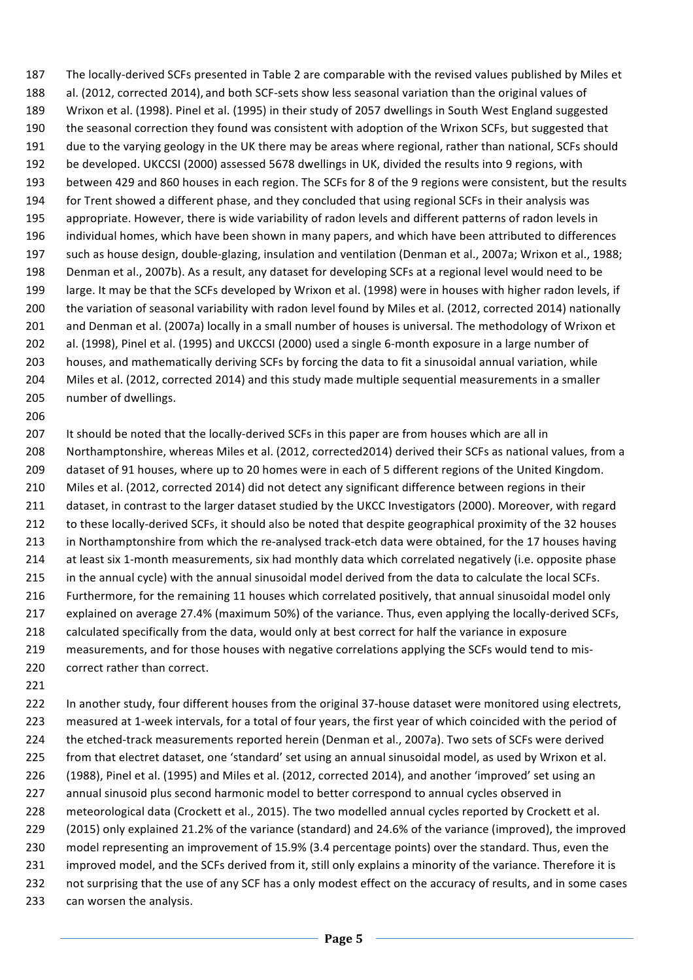187 The locally-derived SCFs presented in Table 2 are comparable with the revised values published by Miles et al. (2012, corrected 2014), and both SCF‐sets show less seasonal variation than the original values of Wrixon et al. (1998). Pinel et al. (1995) in their study of 2057 dwellings in South West England suggested the seasonal correction they found was consistent with adoption of the Wrixon SCFs, but suggested that due to the varying geology in the UK there may be areas where regional, rather than national, SCFs should be developed. UKCCSI (2000) assessed 5678 dwellings in UK, divided the results into 9 regions, with between 429 and 860 houses in each region. The SCFs for 8 of the 9 regions were consistent, but the results for Trent showed a different phase, and they concluded that using regional SCFs in their analysis was appropriate. However, there is wide variability of radon levels and different patterns of radon levels in individual homes, which have been shown in many papers, and which have been attributed to differences such as house design, double‐glazing, insulation and ventilation (Denman et al., 2007a; Wrixon et al., 1988; Denman et al., 2007b). As a result, any dataset for developing SCFs at a regional level would need to be large. It may be that the SCFs developed by Wrixon et al. (1998) were in houses with higher radon levels, if the variation of seasonal variability with radon level found by Miles et al. (2012, corrected 2014) nationally and Denman et al. (2007a) locally in a small number of houses is universal. The methodology of Wrixon et al. (1998), Pinel et al. (1995) and UKCCSI (2000) used a single 6‐month exposure in a large number of houses, and mathematically deriving SCFs by forcing the data to fit a sinusoidal annual variation, while Miles et al. (2012, corrected 2014) and this study made multiple sequential measurements in a smaller number of dwellings.

207 It should be noted that the locally-derived SCFs in this paper are from houses which are all in Northamptonshire, whereas Miles et al. (2012, corrected2014) derived their SCFs as national values, from a dataset of 91 houses, where up to 20 homes were in each of 5 different regions of the United Kingdom. Miles et al. (2012, corrected 2014) did not detect any significant difference between regions in their dataset, in contrast to the larger dataset studied by the UKCC Investigators (2000). Moreover, with regard 212 to these locally-derived SCFs, it should also be noted that despite geographical proximity of the 32 houses 213 in Northamptonshire from which the re-analysed track-etch data were obtained, for the 17 houses having 214 at least six 1-month measurements, six had monthly data which correlated negatively (i.e. opposite phase in the annual cycle) with the annual sinusoidal model derived from the data to calculate the local SCFs. Furthermore, for the remaining 11 houses which correlated positively, that annual sinusoidal model only explained on average 27.4% (maximum 50%) of the variance. Thus, even applying the locally‐derived SCFs, calculated specifically from the data, would only at best correct for half the variance in exposure 219 measurements, and for those houses with negative correlations applying the SCFs would tend to mis-correct rather than correct.

222 In another study, four different houses from the original 37-house dataset were monitored using electrets, 223 measured at 1-week intervals, for a total of four years, the first year of which coincided with the period of 224 the etched-track measurements reported herein (Denman et al., 2007a). Two sets of SCFs were derived from that electret dataset, one 'standard' set using an annual sinusoidal model, as used by Wrixon et al. (1988), Pinel et al. (1995) and Miles et al. (2012, corrected 2014), and another 'improved' set using an annual sinusoid plus second harmonic model to better correspond to annual cycles observed in meteorological data (Crockett et al., 2015). The two modelled annual cycles reported by Crockett et al. (2015) only explained 21.2% of the variance (standard) and 24.6% of the variance (improved), the improved model representing an improvement of 15.9% (3.4 percentage points) over the standard. Thus, even the improved model, and the SCFs derived from it, still only explains a minority of the variance. Therefore it is 232 not surprising that the use of any SCF has a only modest effect on the accuracy of results, and in some cases can worsen the analysis.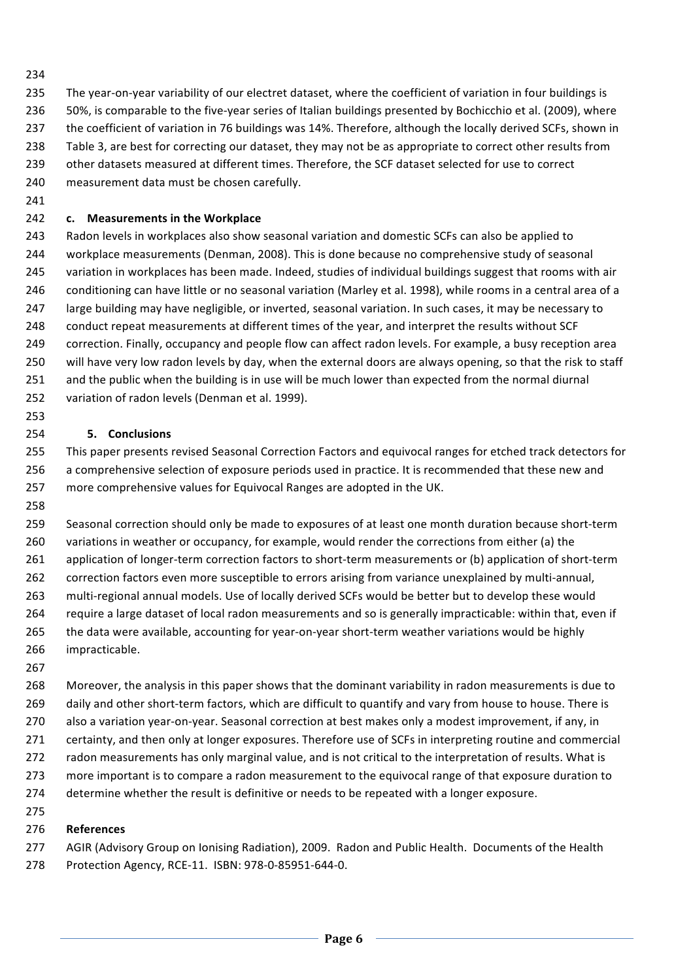235 The year-on-year variability of our electret dataset, where the coefficient of variation in four buildings is 236 50%, is comparable to the five-year series of Italian buildings presented by Bochicchio et al. (2009), where the coefficient of variation in 76 buildings was 14%. Therefore, although the locally derived SCFs, shown in

- Table 3, are best for correcting our dataset, they may not be as appropriate to correct other results from other datasets measured at different times. Therefore, the SCF dataset selected for use to correct
	- measurement data must be chosen carefully.
	-

# **c. Measurements in the Workplace**

 Radon levels in workplaces also show seasonal variation and domestic SCFs can also be applied to workplace measurements (Denman, 2008). This is done because no comprehensive study of seasonal variation in workplaces has been made. Indeed, studies of individual buildings suggest that rooms with air conditioning can have little or no seasonal variation (Marley et al. 1998), while rooms in a central area of a large building may have negligible, or inverted, seasonal variation. In such cases, it may be necessary to conduct repeat measurements at different times of the year, and interpret the results without SCF correction. Finally, occupancy and people flow can affect radon levels. For example, a busy reception area 250 will have very low radon levels by day, when the external doors are always opening, so that the risk to staff and the public when the building is in use will be much lower than expected from the normal diurnal variation of radon levels (Denman et al. 1999).

## **5. Conclusions**

 This paper presents revised Seasonal Correction Factors and equivocal ranges for etched track detectors for a comprehensive selection of exposure periods used in practice. It is recommended that these new and more comprehensive values for Equivocal Ranges are adopted in the UK.

- 259 Seasonal correction should only be made to exposures of at least one month duration because short-term variations in weather or occupancy, for example, would render the corrections from either (a) the 261 application of longer-term correction factors to short-term measurements or (b) application of short-term 262 correction factors even more susceptible to errors arising from variance unexplained by multi-annual, 263 multi-regional annual models. Use of locally derived SCFs would be better but to develop these would require a large dataset of local radon measurements and so is generally impracticable: within that, even if 265 the data were available, accounting for year-on-year short-term weather variations would be highly impracticable.
- 

 Moreover, the analysis in this paper shows that the dominant variability in radon measurements is due to 269 daily and other short-term factors, which are difficult to quantify and vary from house to house. There is 270 also a variation year-on-year. Seasonal correction at best makes only a modest improvement, if any, in certainty, and then only at longer exposures. Therefore use of SCFs in interpreting routine and commercial radon measurements has only marginal value, and is not critical to the interpretation of results. What is more important is to compare a radon measurement to the equivocal range of that exposure duration to determine whether the result is definitive or needs to be repeated with a longer exposure. 

## **References**

 AGIR (Advisory Group on Ionising Radiation), 2009. Radon and Public Health. Documents of the Health Protection Agency, RCE‐11. ISBN: 978‐0‐85951‐644‐0.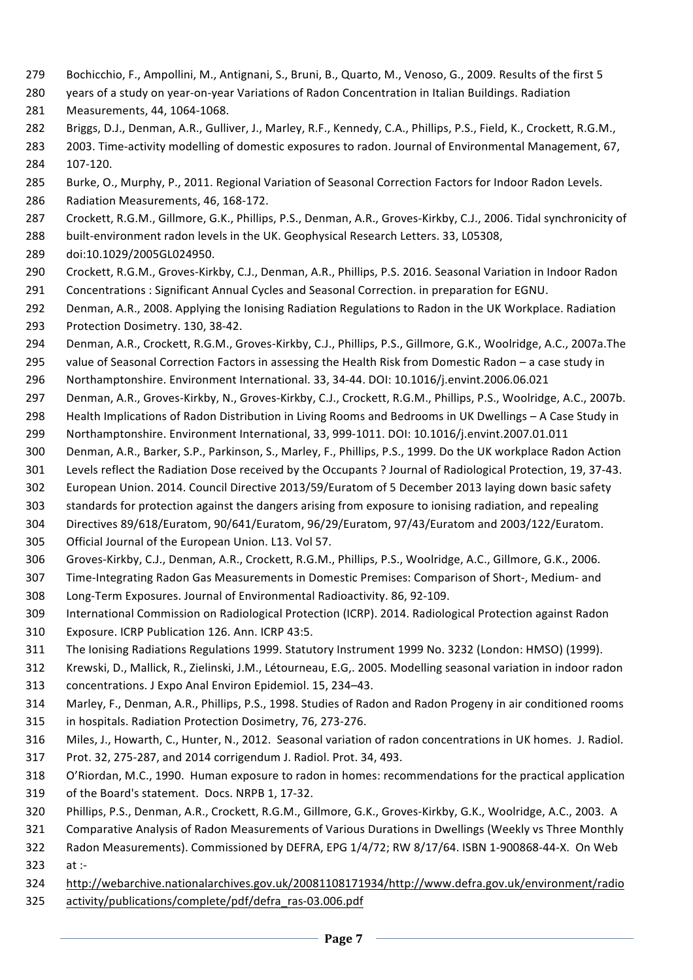- Bochicchio, F., Ampollini, M., Antignani, S., Bruni, B., Quarto, M., Venoso, G., 2009. Results of the first 5
- 280 years of a study on year-on-year Variations of Radon Concentration in Italian Buildings. Radiation
- Measurements, 44, 1064‐1068.
- Briggs, D.J., Denman, A.R., Gulliver, J., Marley, R.F., Kennedy, C.A., Phillips, P.S., Field, K., Crockett, R.G.M.,
- 2003. Time‐activity modelling of domestic exposures to radon. Journal of Environmental Management, 67, 107‐120.
- Burke, O., Murphy, P., 2011. Regional Variation of Seasonal Correction Factors for Indoor Radon Levels.
- Radiation Measurements, 46, 168‐172.
- Crockett, R.G.M., Gillmore, G.K., Phillips, P.S., Denman, A.R., Groves‐Kirkby, C.J., 2006. Tidal synchronicity of
- 288 built-environment radon levels in the UK. Geophysical Research Letters. 33, L05308,
- doi:10.1029/2005GL024950.
- Crockett, R.G.M., Groves‐Kirkby, C.J., Denman, A.R., Phillips, P.S. 2016. Seasonal Variation in Indoor Radon Concentrations : Significant Annual Cycles and Seasonal Correction. in preparation for EGNU.
- Denman, A.R., 2008. Applying the Ionising Radiation Regulations to Radon in the UK Workplace. Radiation Protection Dosimetry. 130, 38‐42.
- Denman, A.R., Crockett, R.G.M., Groves‐Kirkby, C.J., Phillips, P.S., Gillmore, G.K., Woolridge, A.C., 2007a.The
- value of Seasonal Correction Factors in assessing the Health Risk from Domestic Radon a case study in
- Northamptonshire. Environment International. 33, 34‐44. DOI: 10.1016/j.envint.2006.06.021
- Denman, A.R., Groves‐Kirkby, N., Groves‐Kirkby, C.J., Crockett, R.G.M., Phillips, P.S., Woolridge, A.C., 2007b.
- Health Implications of Radon Distribution in Living Rooms and Bedrooms in UK Dwellings A Case Study in Northamptonshire. Environment International, 33, 999‐1011. DOI: 10.1016/j.envint.2007.01.011
- Denman, A.R., Barker, S.P., Parkinson, S., Marley, F., Phillips, P.S., 1999. Do the UK workplace Radon Action
- Levels reflect the Radiation Dose received by the Occupants ? Journal of Radiological Protection, 19, 37‐43.
- European Union. 2014. Council Directive 2013/59/Euratom of 5 December 2013 laying down basic safety
- standards for protection against the dangers arising from exposure to ionising radiation, and repealing
- Directives 89/618/Euratom, 90/641/Euratom, 96/29/Euratom, 97/43/Euratom and 2003/122/Euratom.
- Official Journal of the European Union. L13. Vol 57.
- Groves‐Kirkby, C.J., Denman, A.R., Crockett, R.G.M., Phillips, P.S., Woolridge, A.C., Gillmore, G.K., 2006.
- 307 Time-Integrating Radon Gas Measurements in Domestic Premises: Comparison of Short-, Medium- and Long‐Term Exposures. Journal of Environmental Radioactivity. 86, 92‐109.
- International Commission on Radiological Protection (ICRP). 2014. Radiological Protection against Radon Exposure. ICRP Publication 126. Ann. ICRP 43:5.
- The Ionising Radiations Regulations 1999. Statutory Instrument 1999 No. 3232 (London: HMSO) (1999).
- Krewski, D., Mallick, R., Zielinski, J.M., Létourneau, E.G,. 2005. Modelling seasonal variation in indoor radon concentrations. J Expo Anal Environ Epidemiol. 15, 234–43.
- Marley, F., Denman, A.R., Phillips, P.S., 1998. Studies of Radon and Radon Progeny in air conditioned rooms in hospitals. Radiation Protection Dosimetry, 76, 273‐276.
- Miles, J., Howarth, C., Hunter, N., 2012. Seasonal variation of radon concentrations in UK homes. J. Radiol. Prot. 32, 275‐287, and 2014 corrigendum J. Radiol. Prot. 34, 493.
- O'Riordan, M.C., 1990. Human exposure to radon in homes: recommendations for the practical application of the Board's statement. Docs. NRPB 1, 17‐32.
- Phillips, P.S., Denman, A.R., Crockett, R.G.M., Gillmore, G.K., Groves‐Kirkby, G.K., Woolridge, A.C., 2003. A
- Comparative Analysis of Radon Measurements of Various Durations in Dwellings (Weekly vs Three Monthly
- Radon Measurements). Commissioned by DEFRA, EPG 1/4/72; RW 8/17/64. ISBN 1‐900868‐44‐X. On Web
- at :‐
- http://webarchive.nationalarchives.gov.uk/20081108171934/http://www.defra.gov.uk/environment/radio
- activity/publications/complete/pdf/defra\_ras‐03.006.pdf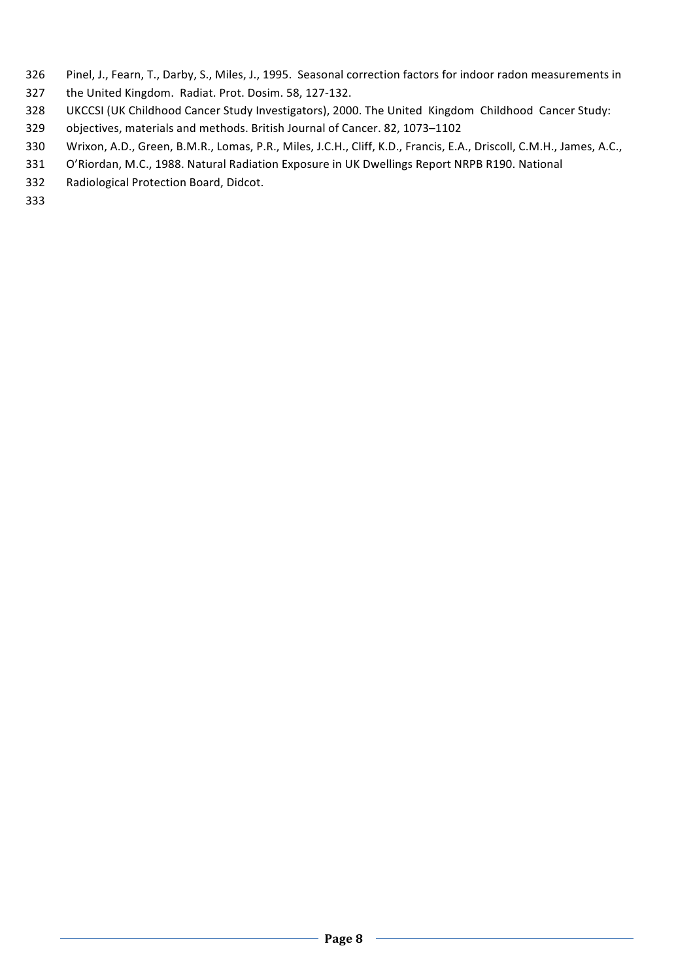- Pinel, J., Fearn, T., Darby, S., Miles, J., 1995. Seasonal correction factors for indoor radon measurements in
- the United Kingdom. Radiat. Prot. Dosim. 58, 127‐132.
- UKCCSI (UK Childhood Cancer Study Investigators), 2000. The United Kingdom Childhood Cancer Study:
- objectives, materials and methods. British Journal of Cancer. 82, 1073–1102
- Wrixon, A.D., Green, B.M.R., Lomas, P.R., Miles, J.C.H., Cliff, K.D., Francis, E.A., Driscoll, C.M.H., James, A.C.,
- O'Riordan, M.C., 1988. Natural Radiation Exposure in UK Dwellings Report NRPB R190. National
- Radiological Protection Board, Didcot.